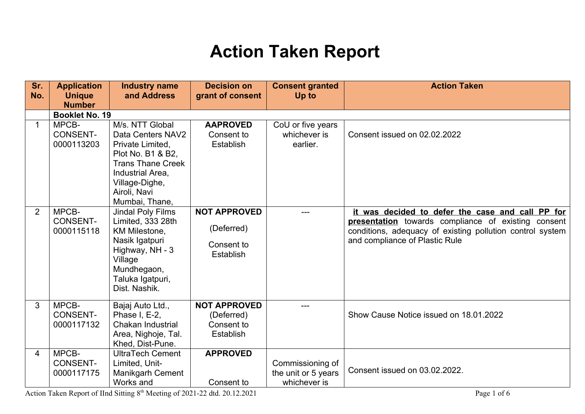## **Action Taken Report**

| Sr.<br>No.     | <b>Application</b><br><b>Unique</b><br><b>Number</b> | <b>Industry name</b><br>and Address                                                                                                                                               | <b>Decision on</b><br>grant of consent                       | <b>Consent granted</b><br>Up to                         | <b>Action Taken</b>                                                                                                                                                                                    |
|----------------|------------------------------------------------------|-----------------------------------------------------------------------------------------------------------------------------------------------------------------------------------|--------------------------------------------------------------|---------------------------------------------------------|--------------------------------------------------------------------------------------------------------------------------------------------------------------------------------------------------------|
|                | <b>Booklet No. 19</b>                                |                                                                                                                                                                                   |                                                              |                                                         |                                                                                                                                                                                                        |
| $\mathbf 1$    | MPCB-<br><b>CONSENT-</b><br>0000113203               | M/s. NTT Global<br>Data Centers NAV2<br>Private Limited,<br>Plot No. B1 & B2,<br><b>Trans Thane Creek</b><br>Industrial Area.<br>Village-Dighe,<br>Airoli, Navi<br>Mumbai, Thane, | <b>AAPROVED</b><br>Consent to<br>Establish                   | CoU or five years<br>whichever is<br>earlier.           | Consent issued on 02.02.2022                                                                                                                                                                           |
| $\overline{2}$ | MPCB-<br><b>CONSENT-</b><br>0000115118               | Jindal Poly Films<br>Limited, 333 28th<br><b>KM Milestone.</b><br>Nasik Igatpuri<br>Highway, NH - 3<br>Village<br>Mundhegaon,<br>Taluka Igatpuri,<br>Dist. Nashik.                | <b>NOT APPROVED</b><br>(Deferred)<br>Consent to<br>Establish | ---                                                     | it was decided to defer the case and call PP for<br>presentation towards compliance of existing consent<br>conditions, adequacy of existing pollution control system<br>and compliance of Plastic Rule |
| 3              | MPCB-<br><b>CONSENT-</b><br>0000117132               | Bajaj Auto Ltd.,<br>Phase I, E-2,<br>Chakan Industrial<br>Area, Nighoje, Tal.<br>Khed, Dist-Pune.                                                                                 | <b>NOT APPROVED</b><br>(Deferred)<br>Consent to<br>Establish | ---                                                     | Show Cause Notice issued on 18.01.2022                                                                                                                                                                 |
| 4              | MPCB-<br><b>CONSENT-</b><br>0000117175               | <b>UltraTech Cement</b><br>Limited, Unit-<br>Manikgarh Cement<br>Works and                                                                                                        | <b>APPROVED</b><br>Consent to                                | Commissioning of<br>the unit or 5 years<br>whichever is | Consent issued on 03.02.2022.                                                                                                                                                                          |

Action Taken Report of IInd Sitting 8<sup>th</sup> Meeting of 2021-22 dtd. 20.12.2021 Page 1 of 6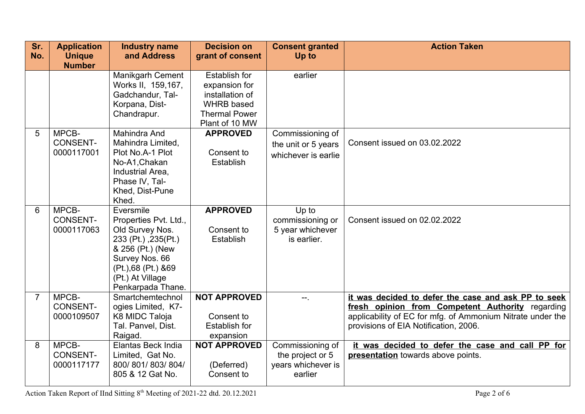| Sr.<br>No.     | <b>Application</b><br><b>Unique</b>    | <b>Industry name</b><br>and Address                                                                                                                                                  | <b>Decision on</b><br>grant of consent                                                                                  | <b>Consent granted</b><br>Up to                                       | <b>Action Taken</b>                                                                                                                                                                                            |
|----------------|----------------------------------------|--------------------------------------------------------------------------------------------------------------------------------------------------------------------------------------|-------------------------------------------------------------------------------------------------------------------------|-----------------------------------------------------------------------|----------------------------------------------------------------------------------------------------------------------------------------------------------------------------------------------------------------|
|                | <b>Number</b>                          |                                                                                                                                                                                      |                                                                                                                         |                                                                       |                                                                                                                                                                                                                |
|                |                                        | Manikgarh Cement<br>Works II, 159,167,<br>Gadchandur, Tal-<br>Korpana, Dist-<br>Chandrapur.                                                                                          | <b>Establish for</b><br>expansion for<br>installation of<br><b>WHRB</b> based<br><b>Thermal Power</b><br>Plant of 10 MW | earlier                                                               |                                                                                                                                                                                                                |
| 5              | MPCB-<br><b>CONSENT-</b><br>0000117001 | Mahindra And<br>Mahindra Limited,<br>Plot No.A-1 Plot<br>No-A1, Chakan<br>Industrial Area,<br>Phase IV, Tal-<br>Khed, Dist-Pune<br>Khed.                                             | <b>APPROVED</b><br>Consent to<br>Establish                                                                              | Commissioning of<br>the unit or 5 years<br>whichever is earlie        | Consent issued on 03.02.2022                                                                                                                                                                                   |
| 6              | MPCB-<br><b>CONSENT-</b><br>0000117063 | Eversmile<br>Properties Pvt. Ltd.,<br>Old Survey Nos.<br>233 (Pt.), 235 (Pt.)<br>& 256 (Pt.) (New<br>Survey Nos. 66<br>(Pt.), 68 (Pt.) & 69<br>(Pt.) At Village<br>Penkarpada Thane. | <b>APPROVED</b><br>Consent to<br>Establish                                                                              | Up to<br>commissioning or<br>5 year whichever<br>is earlier.          | Consent issued on 02.02.2022                                                                                                                                                                                   |
| $\overline{7}$ | MPCB-<br><b>CONSENT-</b><br>0000109507 | Smartchemtechnol<br>ogies Limited, K7-<br>K8 MIDC Taloja<br>Tal. Panvel, Dist.<br>Raigad.                                                                                            | <b>NOT APPROVED</b><br>Consent to<br><b>Establish for</b><br>expansion                                                  | ÷÷.                                                                   | it was decided to defer the case and ask PP to seek<br>fresh opinion from Competent Authority regarding<br>applicability of EC for mfg. of Ammonium Nitrate under the<br>provisions of EIA Notification, 2006. |
| 8              | MPCB-<br><b>CONSENT-</b><br>0000117177 | Elantas Beck India<br>Limited, Gat No.<br>800/801/803/804/<br>805 & 12 Gat No.                                                                                                       | <b>NOT APPROVED</b><br>(Deferred)<br>Consent to                                                                         | Commissioning of<br>the project or 5<br>years whichever is<br>earlier | it was decided to defer the case and call PP for<br>presentation towards above points.                                                                                                                         |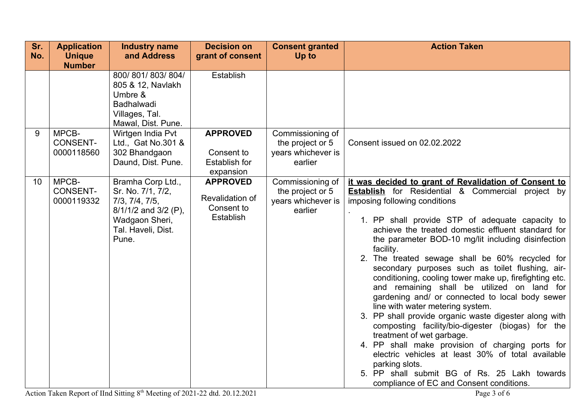| Sr.<br>No. | <b>Application</b><br><b>Unique</b><br><b>Number</b> | <b>Industry name</b><br>and Address                                                                                               | <b>Decision on</b><br>grant of consent                             | <b>Consent granted</b><br>Up to                                       | <b>Action Taken</b>                                                                                                                                                                                                                                                                                                                                                                                                                                                                                                                                                                                                                                                                                                                                                                                                                                                                                                                                                                                        |
|------------|------------------------------------------------------|-----------------------------------------------------------------------------------------------------------------------------------|--------------------------------------------------------------------|-----------------------------------------------------------------------|------------------------------------------------------------------------------------------------------------------------------------------------------------------------------------------------------------------------------------------------------------------------------------------------------------------------------------------------------------------------------------------------------------------------------------------------------------------------------------------------------------------------------------------------------------------------------------------------------------------------------------------------------------------------------------------------------------------------------------------------------------------------------------------------------------------------------------------------------------------------------------------------------------------------------------------------------------------------------------------------------------|
|            |                                                      | 800/801/803/804/<br>805 & 12, Navlakh<br>Umbre &<br>Badhalwadi<br>Villages, Tal.<br>Mawal, Dist. Pune.                            | Establish                                                          |                                                                       |                                                                                                                                                                                                                                                                                                                                                                                                                                                                                                                                                                                                                                                                                                                                                                                                                                                                                                                                                                                                            |
| 9          | MPCB-<br><b>CONSENT-</b><br>0000118560               | Wirtgen India Pvt<br>Ltd., Gat No.301 &<br>302 Bhandgaon<br>Daund, Dist. Pune.                                                    | <b>APPROVED</b><br>Consent to<br><b>Establish for</b><br>expansion | Commissioning of<br>the project or 5<br>years whichever is<br>earlier | Consent issued on 02.02.2022                                                                                                                                                                                                                                                                                                                                                                                                                                                                                                                                                                                                                                                                                                                                                                                                                                                                                                                                                                               |
| 10         | MPCB-<br><b>CONSENT-</b><br>0000119332               | Bramha Corp Ltd.,<br>Sr. No. 7/1, 7/2,<br>7/3, 7/4, 7/5,<br>8/1/1/2 and 3/2 (P),<br>Wadgaon Sheri,<br>Tal. Haveli, Dist.<br>Pune. | <b>APPROVED</b><br>Revalidation of<br>Consent to<br>Establish      | Commissioning of<br>the project or 5<br>years whichever is<br>earlier | it was decided to grant of Revalidation of Consent to<br><b>Establish</b> for Residential & Commercial<br>project by<br>imposing following conditions<br>1. PP shall provide STP of adequate capacity to<br>achieve the treated domestic effluent standard for<br>the parameter BOD-10 mg/lit including disinfection<br>facility.<br>2. The treated sewage shall be 60% recycled for<br>secondary purposes such as toilet flushing, air-<br>conditioning, cooling tower make up, firefighting etc.<br>and remaining shall be utilized on land for<br>gardening and/ or connected to local body sewer<br>line with water metering system.<br>3. PP shall provide organic waste digester along with<br>composting facility/bio-digester (biogas) for the<br>treatment of wet garbage.<br>4. PP shall make provision of charging ports for<br>electric vehicles at least 30% of total available<br>parking slots.<br>5. PP shall submit BG of Rs. 25 Lakh towards<br>compliance of EC and Consent conditions. |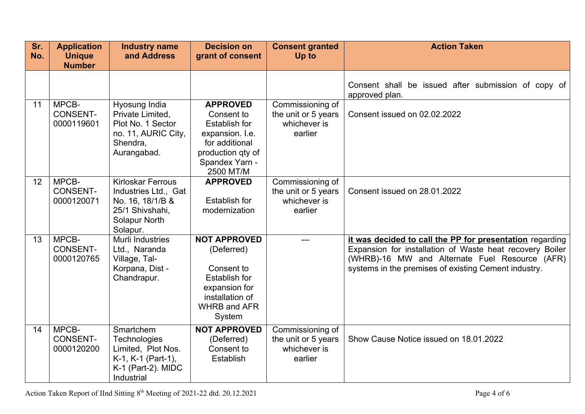| Sr.<br>No. | <b>Application</b><br><b>Unique</b><br><b>Number</b> | <b>Industry name</b><br>and Address                                                                                  | <b>Decision on</b><br>grant of consent                                                                                                         | <b>Consent granted</b><br>Up to                                    | <b>Action Taken</b>                                                                                                                                                                                                            |
|------------|------------------------------------------------------|----------------------------------------------------------------------------------------------------------------------|------------------------------------------------------------------------------------------------------------------------------------------------|--------------------------------------------------------------------|--------------------------------------------------------------------------------------------------------------------------------------------------------------------------------------------------------------------------------|
|            |                                                      |                                                                                                                      |                                                                                                                                                |                                                                    | Consent shall be issued after submission of copy of<br>approved plan.                                                                                                                                                          |
| 11         | MPCB-<br><b>CONSENT-</b><br>0000119601               | Hyosung India<br>Private Limited,<br>Plot No. 1 Sector<br>no. 11, AURIC City,<br>Shendra,<br>Aurangabad.             | <b>APPROVED</b><br>Consent to<br><b>Establish for</b><br>expansion. I.e.<br>for additional<br>production qty of<br>Spandex Yarn -<br>2500 MT/M | Commissioning of<br>the unit or 5 years<br>whichever is<br>earlier | Consent issued on 02.02.2022                                                                                                                                                                                                   |
| 12         | MPCB-<br><b>CONSENT-</b><br>0000120071               | <b>Kirloskar Ferrous</b><br>Industries Ltd., Gat<br>No. 16, 18/1/B &<br>25/1 Shivshahi,<br>Solapur North<br>Solapur. | <b>APPROVED</b><br><b>Establish for</b><br>modernization                                                                                       | Commissioning of<br>the unit or 5 years<br>whichever is<br>earlier | Consent issued on 28.01.2022                                                                                                                                                                                                   |
| 13         | MPCB-<br><b>CONSENT-</b><br>0000120765               | Murli Industries<br>Ltd., Naranda<br>Village, Tal-<br>Korpana, Dist -<br>Chandrapur.                                 | <b>NOT APPROVED</b><br>(Deferred)<br>Consent to<br><b>Establish for</b><br>expansion for<br>installation of<br><b>WHRB and AFR</b><br>System   |                                                                    | it was decided to call the PP for presentation regarding<br>Expansion for installation of Waste heat recovery Boiler<br>(WHRB)-16 MW and Alternate Fuel Resource (AFR)<br>systems in the premises of existing Cement industry. |
| 14         | MPCB-<br><b>CONSENT-</b><br>0000120200               | Smartchem<br><b>Technologies</b><br>Limited, Plot Nos.<br>K-1, K-1 (Part-1),<br>K-1 (Part-2). MIDC<br>Industrial     | <b>NOT APPROVED</b><br>(Deferred)<br>Consent to<br>Establish                                                                                   | Commissioning of<br>the unit or 5 years<br>whichever is<br>earlier | Show Cause Notice issued on 18.01.2022                                                                                                                                                                                         |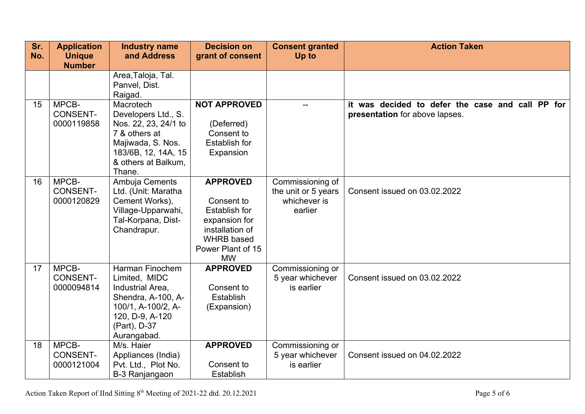| Sr.<br>No. | <b>Application</b><br><b>Unique</b>    | <b>Industry name</b><br>and Address                                                                                                                    | <b>Decision on</b><br>grant of consent                                                                                                           | <b>Consent granted</b><br>Up to                                    | <b>Action Taken</b>                                                                |
|------------|----------------------------------------|--------------------------------------------------------------------------------------------------------------------------------------------------------|--------------------------------------------------------------------------------------------------------------------------------------------------|--------------------------------------------------------------------|------------------------------------------------------------------------------------|
|            | <b>Number</b>                          |                                                                                                                                                        |                                                                                                                                                  |                                                                    |                                                                                    |
|            |                                        | Area, Taloja, Tal.<br>Panvel, Dist.<br>Raigad.                                                                                                         |                                                                                                                                                  |                                                                    |                                                                                    |
| 15         | MPCB-<br><b>CONSENT-</b><br>0000119858 | Macrotech<br>Developers Ltd., S.<br>Nos. 22, 23, 24/1 to<br>7 & others at<br>Majiwada, S. Nos.<br>183/6B, 12, 14A, 15<br>& others at Balkum,<br>Thane. | <b>NOT APPROVED</b><br>(Deferred)<br>Consent to<br><b>Establish for</b><br>Expansion                                                             |                                                                    | it was decided to defer the case and call PP for<br>presentation for above lapses. |
| 16         | MPCB-<br><b>CONSENT-</b><br>0000120829 | Ambuja Cements<br>Ltd. (Unit: Maratha<br>Cement Works),<br>Village-Upparwahi,<br>Tal-Korpana, Dist-<br>Chandrapur.                                     | <b>APPROVED</b><br>Consent to<br><b>Establish for</b><br>expansion for<br>installation of<br><b>WHRB</b> based<br>Power Plant of 15<br><b>MW</b> | Commissioning of<br>the unit or 5 years<br>whichever is<br>earlier | Consent issued on 03.02.2022                                                       |
| 17         | MPCB-<br><b>CONSENT-</b><br>0000094814 | Harman Finochem<br>Limited, MIDC<br>Industrial Area,<br>Shendra, A-100, A-<br>100/1, A-100/2, A-<br>120, D-9, A-120<br>(Part), D-37<br>Aurangabad.     | <b>APPROVED</b><br>Consent to<br>Establish<br>(Expansion)                                                                                        | Commissioning or<br>5 year whichever<br>is earlier                 | Consent issued on 03.02.2022                                                       |
| 18         | MPCB-<br><b>CONSENT-</b><br>0000121004 | M/s. Haier<br>Appliances (India)<br>Pvt. Ltd., Plot No.<br>B-3 Ranjangaon                                                                              | <b>APPROVED</b><br>Consent to<br>Establish                                                                                                       | Commissioning or<br>5 year whichever<br>is earlier                 | Consent issued on 04.02.2022                                                       |